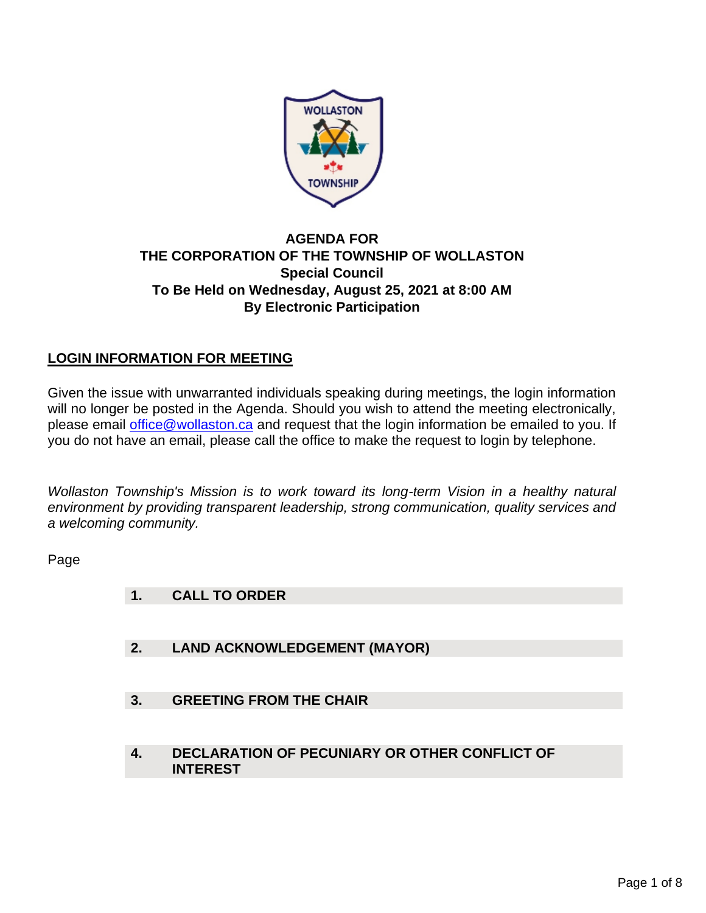

### **AGENDA FOR THE CORPORATION OF THE TOWNSHIP OF WOLLASTON Special Council To Be Held on Wednesday, August 25, 2021 at 8:00 AM By Electronic Participation**

### **LOGIN INFORMATION FOR MEETING**

Given the issue with unwarranted individuals speaking during meetings, the login information will no longer be posted in the Agenda. Should you wish to attend the meeting electronically, please email [office@wollaston.ca](mailto:office@wollaston.ca) and request that the login information be emailed to you. If you do not have an email, please call the office to make the request to login by telephone.

*Wollaston Township's Mission is to work toward its long-term Vision in a healthy natural environment by providing transparent leadership, strong communication, quality services and a welcoming community.* 

Page

- **1. CALL TO ORDER**
- **2. LAND ACKNOWLEDGEMENT (MAYOR)**
- **3. GREETING FROM THE CHAIR**
- **4. DECLARATION OF PECUNIARY OR OTHER CONFLICT OF INTEREST**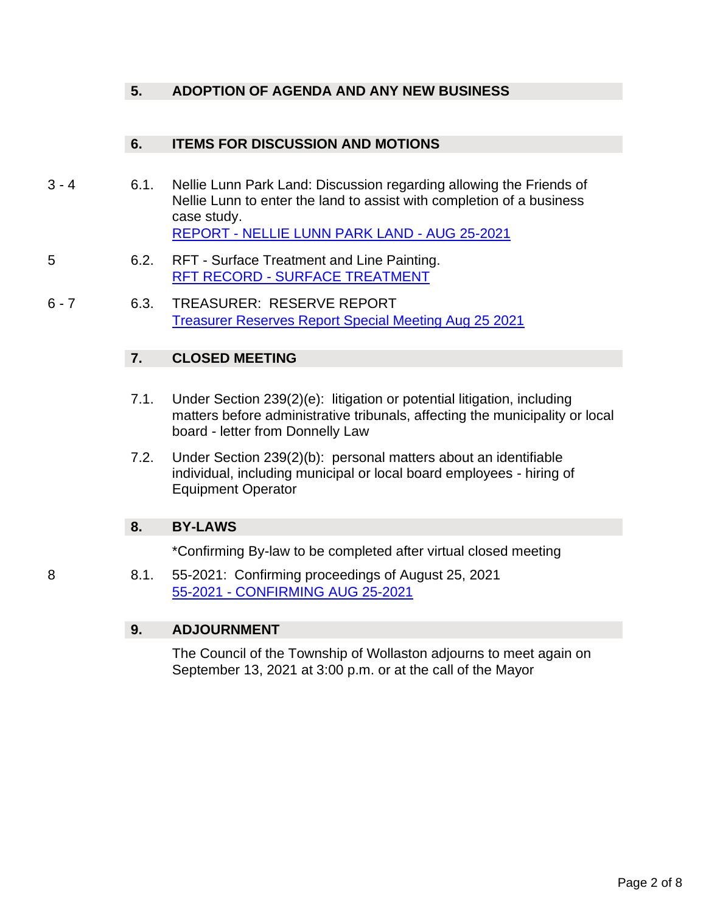### **5. ADOPTION OF AGENDA AND ANY NEW BUSINESS**

### **6. ITEMS FOR DISCUSSION AND MOTIONS**

- 3 4 6.1. Nellie Lunn Park Land: Discussion regarding allowing the Friends of Nellie Lunn to enter the land to assist with completion of a business case study. REPORT - [NELLIE LUNN PARK LAND -](#page-2-0) AUG 25-2021
- 5 6.2. RFT Surface Treatment and Line Painting. RFT RECORD - [SURFACE TREATMENT](#page-4-0)
- 6 7 6.3. TREASURER: RESERVE REPORT [Treasurer Reserves Report Special Meeting Aug 25 2021](#page-5-0)

### **7. CLOSED MEETING**

- 7.1. Under Section 239(2)(e): litigation or potential litigation, including matters before administrative tribunals, affecting the municipality or local board - letter from Donnelly Law
- 7.2. Under Section 239(2)(b): personal matters about an identifiable individual, including municipal or local board employees - hiring of Equipment Operator

### **8. BY-LAWS**

\*Confirming By-law to be completed after virtual closed meeting

8 8.1. 55-2021: Confirming proceedings of August 25, 2021 55-2021 - [CONFIRMING AUG 25-2021](#page-7-0)

### **9. ADJOURNMENT**

The Council of the Township of Wollaston adjourns to meet again on September 13, 2021 at 3:00 p.m. or at the call of the Mayor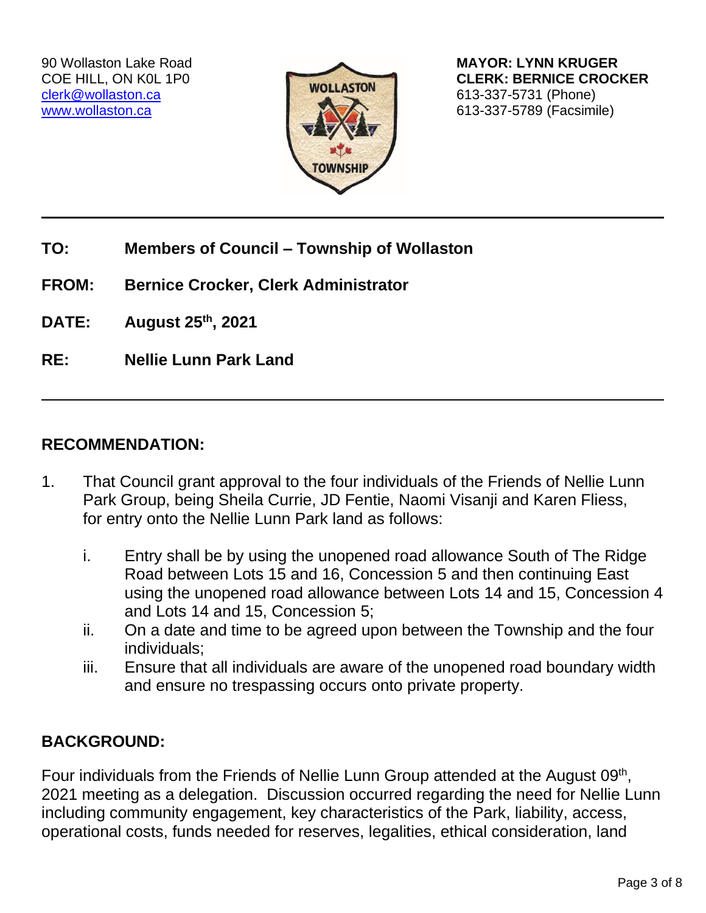

<span id="page-2-0"></span>90 Wollaston Lake Road **MAYOR: LYNN KRUGER** COE HILL, ON KOL 1P0 **CLERK: BERNICE CROCKER** [www.wollaston.ca](http://www.wollaston.ca/) **613-337-5789 (Facsimile)** 

- **TO: Members of Council – Township of Wollaston**
- **FROM: Bernice Crocker, Clerk Administrator**
- **DATE: August 25th, 2021**
- **RE: Nellie Lunn Park Land**

## **RECOMMENDATION:**

- 1. That Council grant approval to the four individuals of the Friends of Nellie Lunn Park Group, being Sheila Currie, JD Fentie, Naomi Visanji and Karen Fliess, for entry onto the Nellie Lunn Park land as follows:
	- i. Entry shall be by using the unopened road allowance South of The Ridge Road between Lots 15 and 16, Concession 5 and then continuing East using the unopened road allowance between Lots 14 and 15, Concession 4 and Lots 14 and 15, Concession 5;
	- ii. On a date and time to be agreed upon between the Township and the four individuals;
	- iii. Ensure that all individuals are aware of the unopened road boundary width and ensure no trespassing occurs onto private property.

# **BACKGROUND:**

Four individuals from the Friends of Nellie Lunn Group attended at the August 09<sup>th</sup>, 2021 meeting as a delegation. Discussion occurred regarding the need for Nellie Lunn including community engagement, key characteristics of the Park, liability, access, operational costs, funds needed for reserves, legalities, ethical consideration, land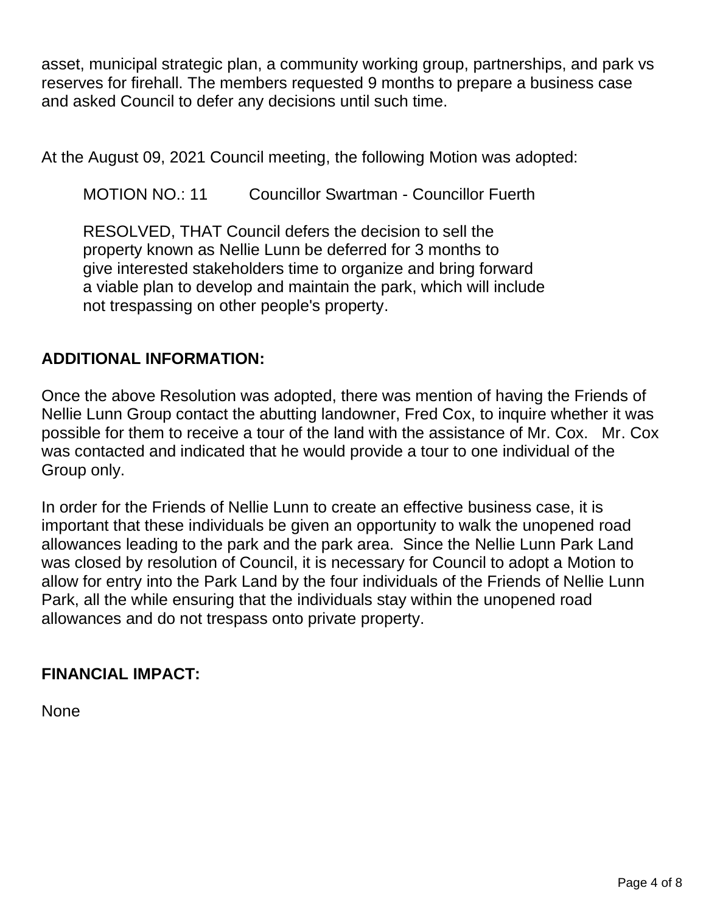asset, municipal strategic plan, a community working group, partnerships, and park vs reserves for firehall. The members requested 9 months to prepare a business case and asked Council to defer any decisions until such time.

At the August 09, 2021 Council meeting, the following Motion was adopted:

MOTION NO.: 11 Councillor Swartman - Councillor Fuerth

RESOLVED, THAT Council defers the decision to sell the property known as Nellie Lunn be deferred for 3 months to give interested stakeholders time to organize and bring forward a viable plan to develop and maintain the park, which will include not trespassing on other people's property.

# **ADDITIONAL INFORMATION:**

Once the above Resolution was adopted, there was mention of having the Friends of Nellie Lunn Group contact the abutting landowner, Fred Cox, to inquire whether it was possible for them to receive a tour of the land with the assistance of Mr. Cox. Mr. Cox was contacted and indicated that he would provide a tour to one individual of the Group only.

In order for the Friends of Nellie Lunn to create an effective business case, it is important that these individuals be given an opportunity to walk the unopened road allowances leading to the park and the park area. Since the Nellie Lunn Park Land was closed by resolution of Council, it is necessary for Council to adopt a Motion to allow for entry into the Park Land by the four individuals of the Friends of Nellie Lunn Park, all the while ensuring that the individuals stay within the unopened road allowances and do not trespass onto private property.

# **FINANCIAL IMPACT:**

None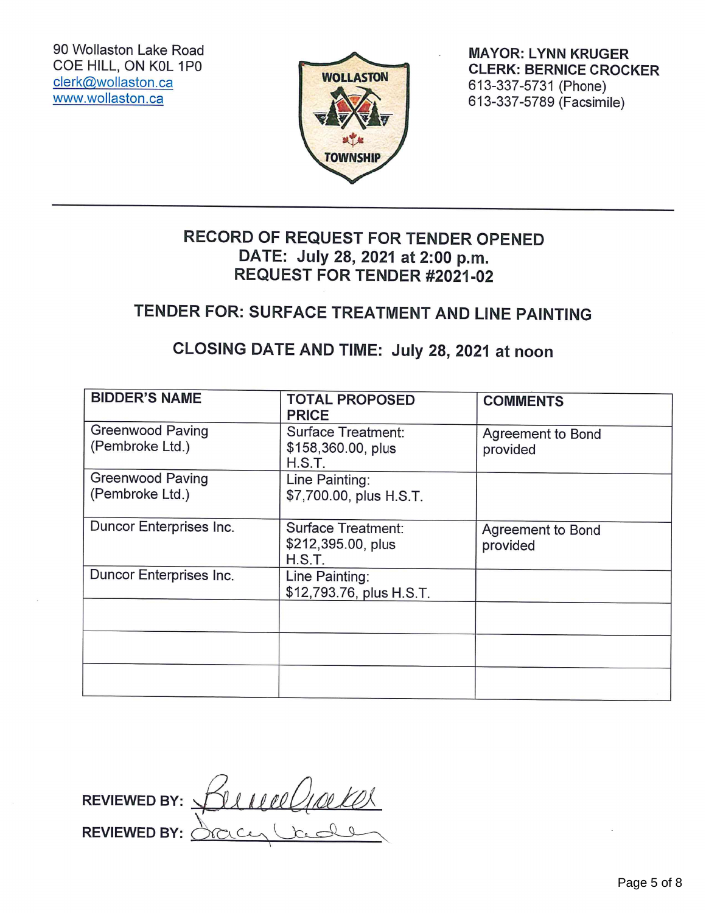90 Wollaston Lake Road COE HILL, ON K0L 1P0 clerk@wollaston.ca www.wollaston.ca



**MAYOR: LYNN KRUGER CLERK: BERNICE CROCKER** 613-337-5731 (Phone) 613-337-5789 (Facsimile)

# RECORD OF REQUEST FOR TENDER OPENED DATE: July 28, 2021 at 2:00 p.m. **REQUEST FOR TENDER #2021-02**

# TENDER FOR: SURFACE TREATMENT AND LINE PAINTING

# CLOSING DATE AND TIME: July 28, 2021 at noon

<span id="page-4-0"></span>

| REQUEST FOR TENDER #2021-02                                                                     |                                                           |                               |
|-------------------------------------------------------------------------------------------------|-----------------------------------------------------------|-------------------------------|
| TENDER FOR: SURFACE TREATMENT AND LINE PAINTING<br>CLOSING DATE AND TIME: July 28, 2021 at noon |                                                           |                               |
|                                                                                                 |                                                           |                               |
| <b>Greenwood Paving</b><br>(Pembroke Ltd.)                                                      | <b>Surface Treatment:</b><br>\$158,360.00, plus<br>H.S.T. | Agreement to Bond<br>provided |
| <b>Greenwood Paving</b><br>(Pembroke Ltd.)                                                      | Line Painting:<br>\$7,700.00, plus H.S.T.                 |                               |
| Duncor Enterprises Inc.                                                                         | <b>Surface Treatment:</b><br>\$212,395.00, plus<br>H.S.T. | Agreement to Bond<br>provided |
| Duncor Enterprises Inc.                                                                         | Line Painting:<br>\$12,793.76, plus H.S.T.                |                               |
|                                                                                                 |                                                           |                               |
|                                                                                                 |                                                           |                               |
|                                                                                                 |                                                           |                               |
|                                                                                                 |                                                           |                               |
| <b>REVIEWED BY:</b>                                                                             | rneelin                                                   |                               |

F<br>F ev.<br>Ev mediakel **REVIEWED BY: REVIEWED BY:** iCen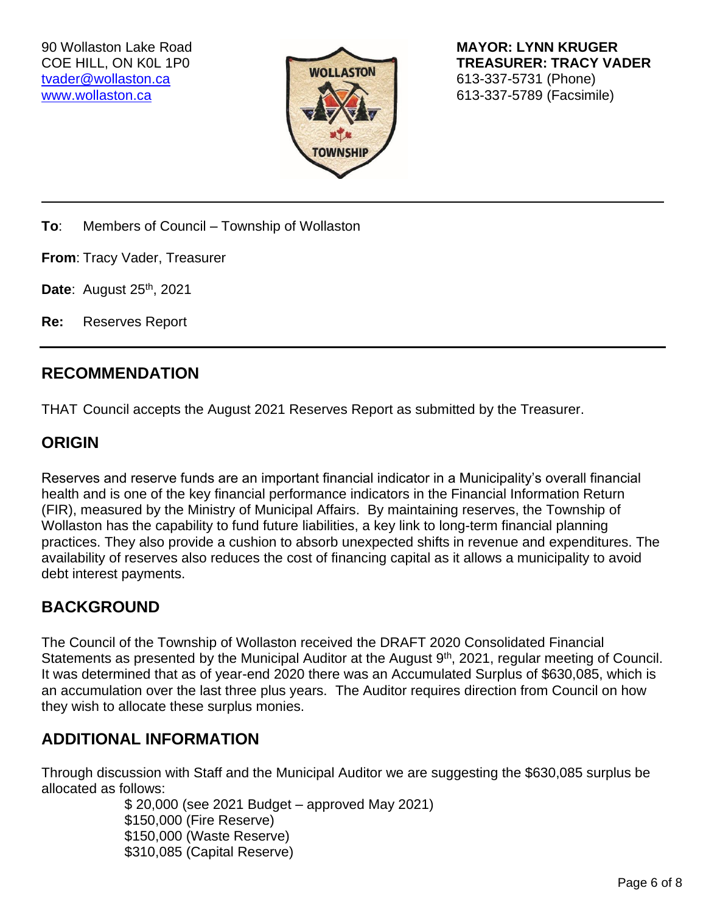<span id="page-5-0"></span>[tvader@wollaston.ca](mailto:tvader@wollaston.ca) 613-337-5731 (Phone)



90 Wollaston Lake Road **MAYOR: LYNN KRUGER** COE HILL, ON K0L 1P0 **TREASURER: TRACY VADER** [www.wollaston.ca](http://www.wollaston.ca/) **613-337-5789 (Facsimile)** 

**To**: Members of Council – Township of Wollaston

**From**: Tracy Vader, Treasurer

**Date: August 25th, 2021** 

**Re:** Reserves Report

### **RECOMMENDATION**

THAT Council accepts the August 2021 Reserves Report as submitted by the Treasurer.

## **ORIGIN**

Reserves and reserve funds are an important financial indicator in a Municipality's overall financial health and is one of the key financial performance indicators in the Financial Information Return (FIR), measured by the Ministry of Municipal Affairs. By maintaining reserves, the Township of Wollaston has the capability to fund future liabilities, a key link to long-term financial planning practices. They also provide a cushion to absorb unexpected shifts in revenue and expenditures. The availability of reserves also reduces the cost of financing capital as it allows a municipality to avoid debt interest payments.

## **BACKGROUND**

The Council of the Township of Wollaston received the DRAFT 2020 Consolidated Financial Statements as presented by the Municipal Auditor at the August 9<sup>th</sup>, 2021, regular meeting of Council. It was determined that as of year-end 2020 there was an Accumulated Surplus of \$630,085, which is an accumulation over the last three plus years. The Auditor requires direction from Council on how they wish to allocate these surplus monies.

## **ADDITIONAL INFORMATION**

Through discussion with Staff and the Municipal Auditor we are suggesting the \$630,085 surplus be allocated as follows:

> \$ 20,000 (see 2021 Budget – approved May 2021) \$150,000 (Fire Reserve) \$150,000 (Waste Reserve) \$310,085 (Capital Reserve)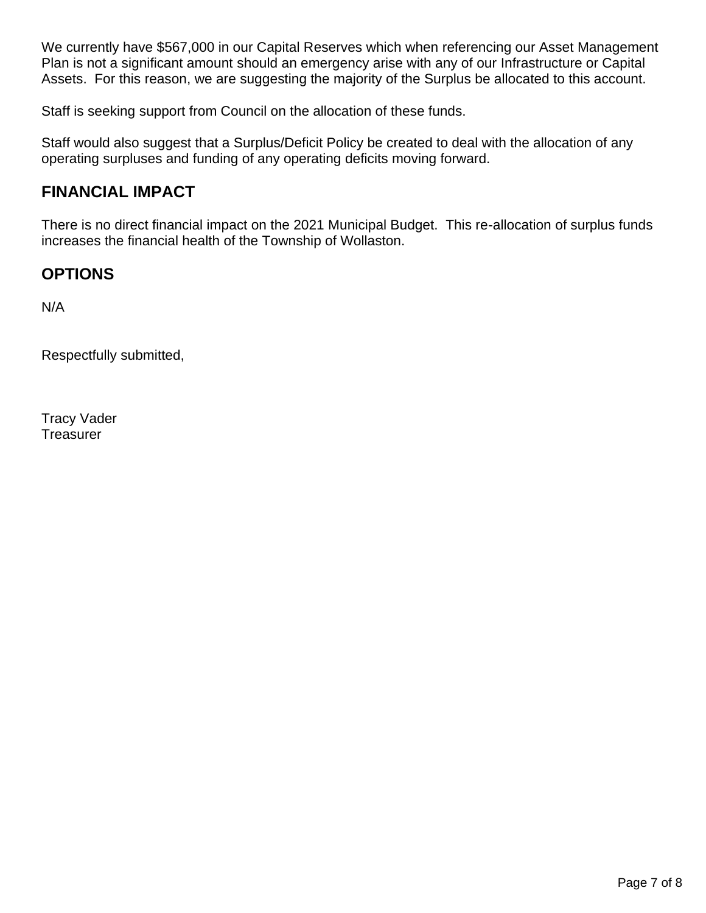We currently have \$567,000 in our Capital Reserves which when referencing our Asset Management Plan is not a significant amount should an emergency arise with any of our Infrastructure or Capital Assets. For this reason, we are suggesting the majority of the Surplus be allocated to this account.

Staff is seeking support from Council on the allocation of these funds.

Staff would also suggest that a Surplus/Deficit Policy be created to deal with the allocation of any operating surpluses and funding of any operating deficits moving forward.

## **FINANCIAL IMPACT**

There is no direct financial impact on the 2021 Municipal Budget. This re-allocation of surplus funds increases the financial health of the Township of Wollaston.

## **OPTIONS**

N/A

Respectfully submitted,

Tracy Vader **Treasurer**